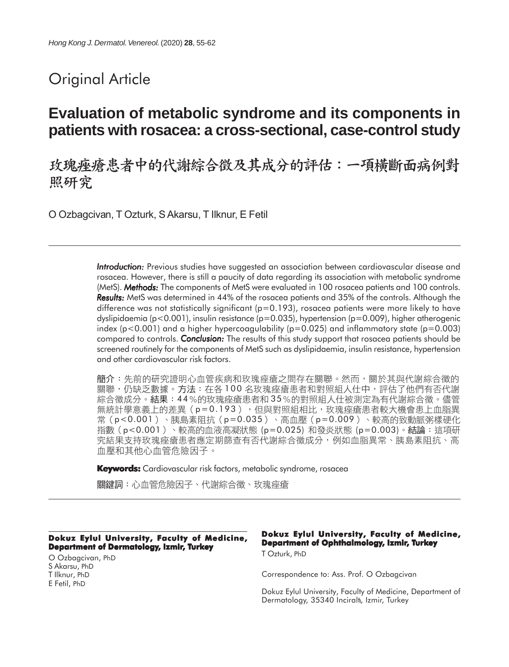# Original Article

# **Evaluation of metabolic syndrome and its components in patients with rosacea: a cross-sectional, case-control study**

玫瑰痤瘡患者中的代謝綜合徵及其成分的評估:一項橫斷面病例對 照研究

O Ozbagcivan, T Ozturk, S Akarsu, T Ilknur, E Fetil

*Introduction: Introduction:* Previous studies have suggested an association between cardiovascular disease and rosacea. However, there is still a paucity of data regarding its association with metabolic syndrome (MetS). *Methods: Methods:* The components of MetS were evaluated in 100 rosacea patients and 100 controls. *Results: Results:* MetS was determined in 44% of the rosacea patients and 35% of the controls. Although the difference was not statistically significant ( $p=0.193$ ), rosacea patients were more likely to have dyslipidaemia (p<0.001), insulin resistance (p=0.035), hypertension (p=0.009), higher atherogenic index ( $p < 0.001$ ) and a higher hypercoagulability ( $p = 0.025$ ) and inflammatory state ( $p = 0.003$ ) compared to controls. *Conclusion: Conclusion:* The results of this study support that rosacea patients should be screened routinely for the components of MetS such as dyslipidaemia, insulin resistance, hypertension and other cardiovascular risk factors.

簡介:先前的研究證明心血管疾病和玫瑰痤瘡之間存在關聯。然而,關於其與代謝綜合徵的 關聯,仍缺乏數據。方法:在各 1 0 0 名玫瑰痤瘡患者和對照組人仕中,評估了他們有否代謝 綜合徵成分。結果:44%的玫瑰痤瘡患者和35%的對照組人仕被測定為有代謝綜合徵。儘管 無統計學意義上的差異(p=0.193),但與對照組相比,玫瑰痤瘡患者較大機會患上血脂異 常 (p<0.001) 、胰島素阻抗 (p=0.035) 、高血壓 (p=0.009) 、較高的致動脈粥樣硬化 指數 (p<0.001) 、較高的血液高凝狀態 (p=0.025) 和發炎狀態 (p=0.003)。結論:這項研 究結果支持玫瑰痤瘡患者應定期篩查有否代謝綜合徵成分,例如血脂異常、胰島素阻抗、高 血壓和其他心血管危險因子。

**Keywords:** Cardiovascular risk factors, metabolic syndrome, rosacea

關鍵詞:心血管危險因子、代謝綜合徵、玫瑰痤瘡

#### **Dokuz Eylul University, Faculty of Medicine, Department of Dermatology, Izmir, Turkey**

O Ozbagcivan, PhD S Akarsu, PhD T Ilknur, PhD E Fetil, PhD

#### **Dokuz Eylul University, Faculty of Medicine, Department of Ophthalmology, Izmir, Turkey** T Ozturk, PhD

Correspondence to: Ass. Prof. O Ozbagcivan

Dokuz Eylul University, Faculty of Medicine, Department of Dermatology, 35340 Inciralt, Izmir, Turkey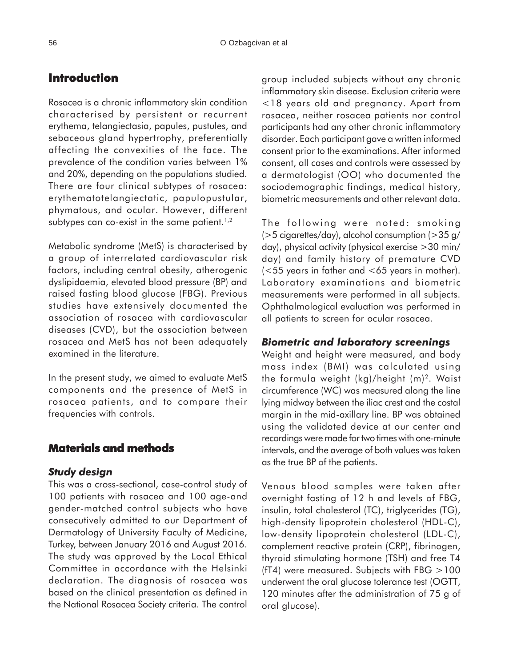# **Introduction**

Rosacea is a chronic inflammatory skin condition characterised by persistent or recurrent erythema, telangiectasia, papules, pustules, and sebaceous gland hypertrophy, preferentially affecting the convexities of the face. The prevalence of the condition varies between 1% and 20%, depending on the populations studied. There are four clinical subtypes of rosacea: erythematotelangiectatic, papulopustular, phymatous, and ocular. However, different subtypes can co-exist in the same patient.<sup>1,2</sup>

Metabolic syndrome (MetS) is characterised by a group of interrelated cardiovascular risk factors, including central obesity, atherogenic dyslipidaemia, elevated blood pressure (BP) and raised fasting blood glucose (FBG). Previous studies have extensively documented the association of rosacea with cardiovascular diseases (CVD), but the association between rosacea and MetS has not been adequately examined in the literature.

In the present study, we aimed to evaluate MetS components and the presence of MetS in rosacea patients, and to compare their frequencies with controls.

## **Materials and methods**

#### *Study design*

This was a cross-sectional, case-control study of 100 patients with rosacea and 100 age-and gender-matched control subjects who have consecutively admitted to our Department of Dermatology of University Faculty of Medicine, Turkey, between January 2016 and August 2016. The study was approved by the Local Ethical Committee in accordance with the Helsinki declaration. The diagnosis of rosacea was based on the clinical presentation as defined in the National Rosacea Society criteria. The control

group included subjects without any chronic inflammatory skin disease. Exclusion criteria were <18 years old and pregnancy. Apart from rosacea, neither rosacea patients nor control participants had any other chronic inflammatory disorder. Each participant gave a written informed consent prior to the examinations. After informed consent, all cases and controls were assessed by a dermatologist (OO) who documented the sociodemographic findings, medical history, biometric measurements and other relevant data.

The following were noted: smoking (>5 cigarettes/day), alcohol consumption (>35 g/ day), physical activity (physical exercise >30 min/ day) and family history of premature CVD (<55 years in father and <65 years in mother). Laboratory examinations and biometric measurements were performed in all subjects. Ophthalmological evaluation was performed in all patients to screen for ocular rosacea.

### *Biometric and laboratory screenings*

Weight and height were measured, and body mass index (BMI) was calculated using the formula weight (kg)/height (m)2. Waist circumference (WC) was measured along the line lying midway between the iliac crest and the costal margin in the mid-axillary line. BP was obtained using the validated device at our center and recordings were made for two times with one-minute intervals, and the average of both values was taken as the true BP of the patients.

Venous blood samples were taken after overnight fasting of 12 h and levels of FBG, insulin, total cholesterol (TC), triglycerides (TG), high-density lipoprotein cholesterol (HDL-C), low-density lipoprotein cholesterol (LDL-C), complement reactive protein (CRP), fibrinogen, thyroid stimulating hormone (TSH) and free T4 (fT4) were measured. Subjects with FBG  $>100$ underwent the oral glucose tolerance test (OGTT, 120 minutes after the administration of 75 g of oral glucose).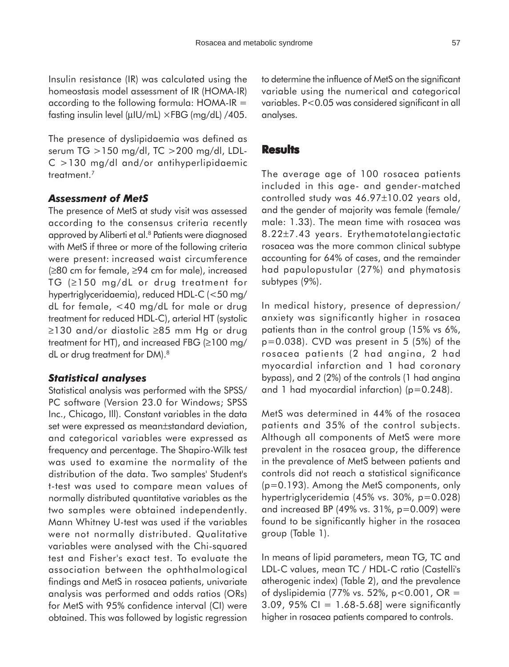Insulin resistance (IR) was calculated using the homeostasis model assessment of IR (HOMA-IR) according to the following formula: HOMA-IR = fasting insulin level ( $\mu$ IU/mL)  $\times$ FBG (mg/dL) /405.

The presence of dyslipidaemia was defined as serum TG >150 mg/dl, TC >200 mg/dl, LDL-C >130 mg/dl and/or antihyperlipidaemic treatment.<sup>7</sup>

### *Assessment of MetS*

The presence of MetS at study visit was assessed according to the consensus criteria recently approved by Aliberti et al.<sup>8</sup> Patients were diagnosed with MetS if three or more of the following criteria were present: increased waist circumference (≥80 cm for female, ≥94 cm for male), increased TG (≥150 mg/dL or drug treatment for hypertriglyceridaemia), reduced HDL-C (<50 mg/ dL for female, <40 mg/dL for male or drug treatment for reduced HDL-C), arterial HT (systolic ≥130 and/or diastolic ≥85 mm Hg or drug treatment for HT), and increased FBG (≥100 mg/ dL or drug treatment for DM).8

#### *Statistical analyses*

Statistical analysis was performed with the SPSS/ PC software (Version 23.0 for Windows; SPSS Inc., Chicago, Ill). Constant variables in the data set were expressed as mean±standard deviation, and categorical variables were expressed as frequency and percentage. The Shapiro-Wilk test was used to examine the normality of the distribution of the data. Two samples' Student's t-test was used to compare mean values of normally distributed quantitative variables as the two samples were obtained independently. Mann Whitney U-test was used if the variables were not normally distributed. Qualitative variables were analysed with the Chi-squared test and Fisher's exact test. To evaluate the association between the ophthalmological findings and MetS in rosacea patients, univariate analysis was performed and odds ratios (ORs) for MetS with 95% confidence interval (CI) were obtained. This was followed by logistic regression to determine the influence of MetS on the significant variable using the numerical and categorical variables. P<0.05 was considered significant in all analyses.

### **Results**

The average age of 100 rosacea patients included in this age- and gender-matched controlled study was 46.97±10.02 years old, and the gender of majority was female (female/ male: 1.33). The mean time with rosacea was 8.22±7.43 years. Erythematotelangiectatic rosacea was the more common clinical subtype accounting for 64% of cases, and the remainder had papulopustular (27%) and phymatosis subtypes (9%).

In medical history, presence of depression/ anxiety was significantly higher in rosacea patients than in the control group (15% vs 6%,  $p=0.038$ ). CVD was present in 5 (5%) of the rosacea patients (2 had angina, 2 had myocardial infarction and 1 had coronary bypass), and 2 (2%) of the controls (1 had angina and 1 had myocardial infarction) ( $p=0.248$ ).

MetS was determined in 44% of the rosacea patients and 35% of the control subjects. Although all components of MetS were more prevalent in the rosacea group, the difference in the prevalence of MetS between patients and controls did not reach a statistical significance (p=0.193). Among the MetS components, only hypertriglyceridemia (45% vs. 30%, p=0.028) and increased BP (49% vs.  $31\%$ , p=0.009) were found to be significantly higher in the rosacea group (Table 1).

In means of lipid parameters, mean TG, TC and LDL-C values, mean TC / HDL-C ratio (Castelli's atherogenic index) (Table 2), and the prevalence of dyslipidemia (77% vs. 52%, p<0.001, OR = 3.09, 95% CI =  $1.68 - 5.68$ ] were significantly higher in rosacea patients compared to controls.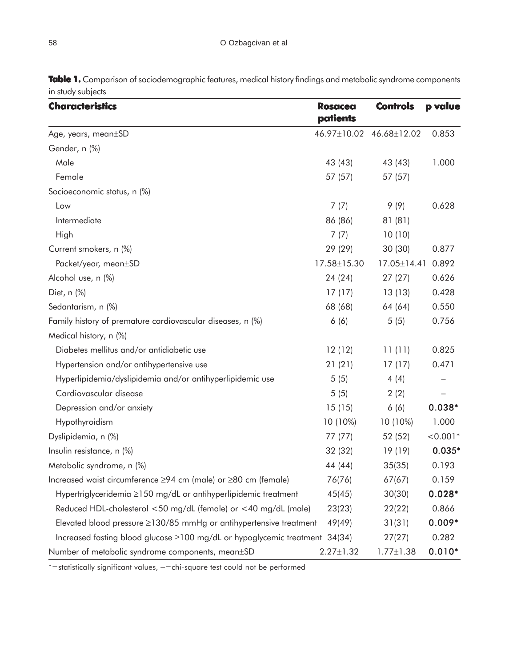| <b>Characteristics</b>                                               | <b>Rosacea</b><br>patients | <b>Controls</b>   | p value    |
|----------------------------------------------------------------------|----------------------------|-------------------|------------|
| Age, years, mean±SD                                                  | 46.97±10.02                | 46.68±12.02       | 0.853      |
| Gender, n (%)                                                        |                            |                   |            |
| Male                                                                 | 43 (43)                    | 43 (43)           | 1.000      |
| Female                                                               | 57 (57)                    | 57 (57)           |            |
| Socioeconomic status, n (%)                                          |                            |                   |            |
| Low                                                                  | 7(7)                       | 9(9)              | 0.628      |
| Intermediate                                                         | 86 (86)                    | 81(81)            |            |
| High                                                                 | 7(7)                       | 10(10)            |            |
| Current smokers, n (%)                                               | 29 (29)                    | 30 (30)           | 0.877      |
| Packet/year, mean±SD                                                 | 17.58±15.30                | $17.05 \pm 14.41$ | 0.892      |
| Alcohol use, n (%)                                                   | 24 (24)                    | 27(27)            | 0.626      |
| Diet, n (%)                                                          | 17(17)                     | 13(13)            | 0.428      |
| Sedantarism, n (%)                                                   | 68 (68)                    | 64 (64)           | 0.550      |
| Family history of premature cardiovascular diseases, n (%)           | 6(6)                       | 5(5)              | 0.756      |
| Medical history, n (%)                                               |                            |                   |            |
| Diabetes mellitus and/or antidiabetic use                            | 12(12)                     | 11(11)            | 0.825      |
| Hypertension and/or antihypertensive use                             | 21(21)                     | 17(17)            | 0.471      |
| Hyperlipidemia/dyslipidemia and/or antihyperlipidemic use            | 5(5)                       | 4(4)              |            |
| Cardiovascular disease                                               | 5(5)                       | 2(2)              |            |
| Depression and/or anxiety                                            | 15(15)                     | 6(6)              | $0.038*$   |
| Hypothyroidism                                                       | 10 (10%)                   | 10 (10%)          | 1.000      |
| Dyslipidemia, n (%)                                                  | 77 (77)                    | 52 (52)           | $< 0.001*$ |
| Insulin resistance, n (%)                                            | 32(32)                     | 19(19)            | $0.035*$   |
| Metabolic syndrome, n (%)                                            | 44 (44)                    | 35(35)            | 0.193      |
| Increased waist circumference ≥94 cm (male) or ≥80 cm (female)       | 76(76)                     | 67(67)            | 0.159      |
| Hypertriglyceridemia ≥150 mg/dL or antihyperlipidemic treatment      | 45(45)                     | 30(30)            | $0.028*$   |
| Reduced HDL-cholesterol <50 mg/dL (female) or <40 mg/dL (male)       | 23(23)                     | 22(22)            | 0.866      |
| Elevated blood pressure ≥130/85 mmHg or antihypertensive treatment   | 49(49)                     | 31(31)            | $0.009*$   |
| Increased fasting blood glucose ≥100 mg/dL or hypoglycemic treatment | 34(34)                     | 27(27)            | 0.282      |
| Number of metabolic syndrome components, mean±SD                     | $2.27 \pm 1.32$            | $1.77 \pm 1.38$   | $0.010*$   |

Table 1. Comparison of sociodemographic features, medical history findings and metabolic syndrome components in study subjects

\*=statistically significant values, −=chi-square test could not be performed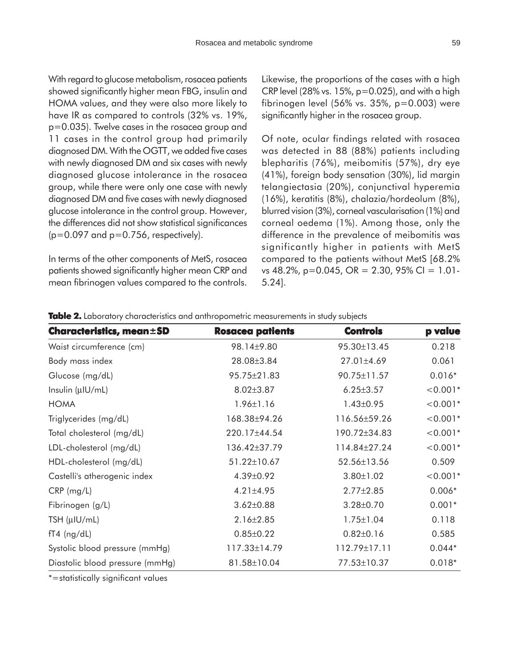With regard to glucose metabolism, rosacea patients showed significantly higher mean FBG, insulin and HOMA values, and they were also more likely to have IR as compared to controls (32% vs. 19%, p=0.035). Twelve cases in the rosacea group and 11 cases in the control group had primarily diagnosed DM. With the OGTT, we added five cases with newly diagnosed DM and six cases with newly diagnosed glucose intolerance in the rosacea group, while there were only one case with newly diagnosed DM and five cases with newly diagnosed glucose intolerance in the control group. However, the differences did not show statistical significances  $(p=0.097$  and  $p=0.756$ , respectively).

In terms of the other components of MetS, rosacea patients showed significantly higher mean CRP and mean fibrinogen values compared to the controls. Likewise, the proportions of the cases with a high CRP level (28% vs.  $15%$ , p=0.025), and with a high fibrinogen level (56% vs. 35%, p=0.003) were significantly higher in the rosacea group.

Of note, ocular findings related with rosacea was detected in 88 (88%) patients including blepharitis (76%), meibomitis (57%), dry eye (41%), foreign body sensation (30%), lid margin telangiectasia (20%), conjunctival hyperemia (16%), keratitis (8%), chalazia/hordeolum (8%), blurred vision (3%), corneal vascularisation (1%) and corneal oedema (1%). Among those, only the difference in the prevalence of meibomitis was significantly higher in patients with MetS compared to the patients without MetS [68.2% vs 48.2%, p=0.045, OR = 2.30, 95% CI = 1.01- 5.24].

| Characteristics, mean±SD        | <b>Rosacea patients</b> | <b>Controls</b> | p value    |
|---------------------------------|-------------------------|-----------------|------------|
| Waist circumference (cm)        | 98.14±9.80              | 95.30±13.45     | 0.218      |
| Body mass index                 | 28.08±3.84              | 27.01±4.69      | 0.061      |
| Glucose (mg/dL)                 | 95.75±21.83             | 90.75±11.57     | $0.016*$   |
| Insulin (µIU/mL)                | $8.02 \pm 3.87$         | $6.25 \pm 3.57$ | $< 0.001*$ |
| <b>HOMA</b>                     | $1.96 \pm 1.16$         | $1.43 \pm 0.95$ | $< 0.001*$ |
| Triglycerides (mg/dL)           | 168.38±94.26            | 116.56±59.26    | $< 0.001*$ |
| Total cholesterol (mg/dL)       | 220.17±44.54            | 190.72±34.83    | $< 0.001*$ |
| LDL-cholesterol (mg/dL)         | 136.42±37.79            | 114.84±27.24    | $< 0.001*$ |
| HDL-cholesterol (mg/dL)         | 51.22±10.67             | 52.56±13.56     | 0.509      |
| Castelli's atherogenic index    | 4.39±0.92               | $3.80 \pm 1.02$ | $< 0.001*$ |
| $CRP$ (mg/L)                    | $4.21 \pm 4.95$         | $2.77 \pm 2.85$ | $0.006*$   |
| Fibrinogen (g/L)                | $3.62 \pm 0.88$         | $3.28 \pm 0.70$ | $0.001*$   |
| TSH $(\mu$ IU/mL)               | $2.16 \pm 2.85$         | $1.75 \pm 1.04$ | 0.118      |
| $fT4$ (ng/dL)                   | $0.85 \pm 0.22$         | $0.82 \pm 0.16$ | 0.585      |
| Systolic blood pressure (mmHg)  | 117.33±14.79            | 112.79±17.11    | $0.044*$   |
| Diastolic blood pressure (mmHg) | 81.58±10.04             | 77.53±10.37     | $0.018*$   |

Table 2. Laboratory characteristics and anthropometric measurements in study subjects

\*=statistically significant values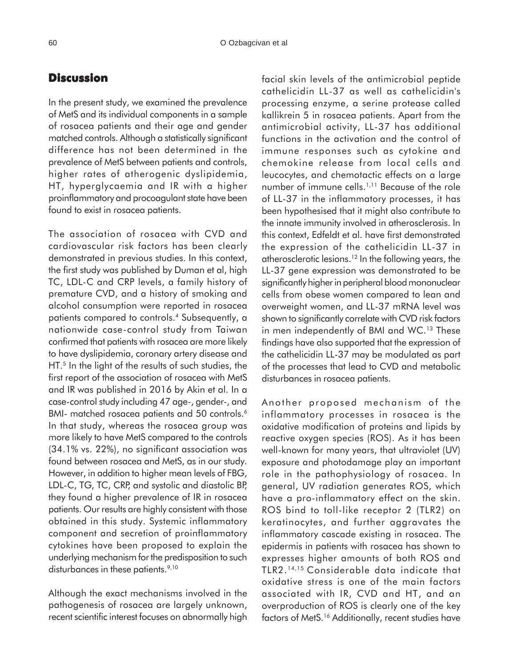## **Discussion**

In the present study, we examined the prevalence of MetS and its individual components in a sample of rosacea patients and their age and gender matched controls. Although a statistically significant difference has not been determined in the prevalence of MetS between patients and controls, higher rates of atherogenic dyslipidemia, HT, hyperglycaemia and IR with a higher proinflammatory and procoagulant state have been found to exist in rosacea patients.

The association of rosacea with CVD and cardiovascular risk factors has been clearly demonstrated in previous studies. In this context, the first study was published by Duman et al, high TC, LDL-C and CRP levels, a family history of premature CVD, and a history of smoking and alcohol consumption were reported in rosacea patients compared to controls.4 Subsequently, a nationwide case-control study from Taiwan confirmed that patients with rosacea are more likely to have dyslipidemia, coronary artery disease and HT.<sup>5</sup> In the light of the results of such studies, the first report of the association of rosacea with MetS and IR was published in 2016 by Akin et al. In a case-control study including 47 age-, gender-, and BMI- matched rosacea patients and 50 controls.<sup>6</sup> In that study, whereas the rosacea group was more likely to have MetS compared to the controls (34.1% vs. 22%), no significant association was found between rosacea and MetS, as in our study. However, in addition to higher mean levels of FBG, LDL-C, TG, TC, CRP, and systolic and diastolic BP, they found a higher prevalence of IR in rosacea patients. Our results are highly consistent with those obtained in this study. Systemic inflammatory component and secretion of proinflammatory cytokines have been proposed to explain the underlying mechanism for the predisposition to such disturbances in these patients.<sup>9,10</sup>

Although the exact mechanisms involved in the pathogenesis of rosacea are largely unknown, recent scientific interest focuses on abnormally high facial skin levels of the antimicrobial peptide cathelicidin LL-37 as well as cathelicidin's processing enzyme, a serine protease called kallikrein 5 in rosacea patients. Apart from the antimicrobial activity, LL-37 has additional functions in the activation and the control of immune responses such as cytokine and chemokine release from local cells and leucocytes, and chemotactic effects on a large number of immune cells.1,11 Because of the role of LL-37 in the inflammatory processes, it has been hypothesised that it might also contribute to the innate immunity involved in atherosclerosis. In this context, Edfeldt et al. have first demonstrated the expression of the cathelicidin LL-37 in atherosclerotic lesions.12 In the following years, the LL-37 gene expression was demonstrated to be significantly higher in peripheral blood mononuclear cells from obese women compared to lean and overweight women, and LL-37 mRNA level was shown to significantly correlate with CVD risk factors in men independently of BMI and WC.<sup>13</sup> These findings have also supported that the expression of the cathelicidin LL-37 may be modulated as part of the processes that lead to CVD and metabolic disturbances in rosacea patients.

Another proposed mechanism of the inflammatory processes in rosacea is the oxidative modification of proteins and lipids by reactive oxygen species (ROS). As it has been well-known for many years, that ultraviolet (UV) exposure and photodamage play an important role in the pathophysiology of rosacea. In general, UV radiation generates ROS, which have a pro-inflammatory effect on the skin. ROS bind to toll-like receptor 2 (TLR2) on keratinocytes, and further aggravates the inflammatory cascade existing in rosacea. The epidermis in patients with rosacea has shown to expresses higher amounts of both ROS and TLR2.14,15 Considerable data indicate that oxidative stress is one of the main factors associated with IR, CVD and HT, and an overproduction of ROS is clearly one of the key factors of MetS.<sup>16</sup> Additionally, recent studies have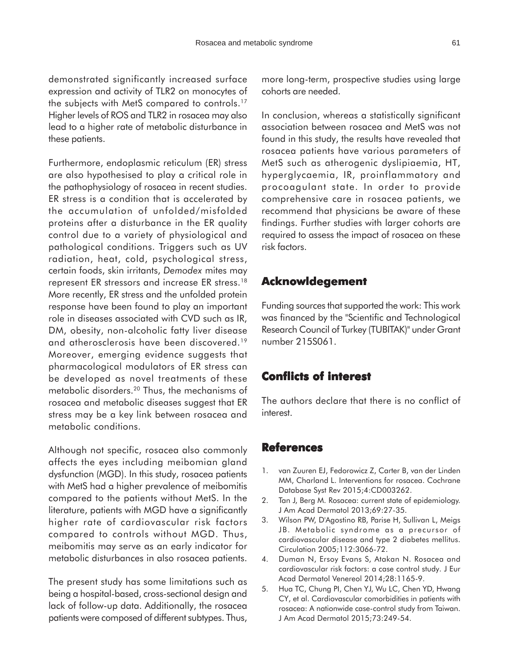demonstrated significantly increased surface expression and activity of TLR2 on monocytes of the subjects with MetS compared to controls.17 Higher levels of ROS and TLR2 in rosacea may also lead to a higher rate of metabolic disturbance in these patients.

Furthermore, endoplasmic reticulum (ER) stress are also hypothesised to play a critical role in the pathophysiology of rosacea in recent studies. ER stress is a condition that is accelerated by the accumulation of unfolded/misfolded proteins after a disturbance in the ER quality control due to a variety of physiological and pathological conditions. Triggers such as UV radiation, heat, cold, psychological stress, certain foods, skin irritants, *Demodex* mites may represent ER stressors and increase ER stress.18 More recently, ER stress and the unfolded protein response have been found to play an important role in diseases associated with CVD such as IR, DM, obesity, non-alcoholic fatty liver disease and atherosclerosis have been discovered.19 Moreover, emerging evidence suggests that pharmacological modulators of ER stress can be developed as novel treatments of these metabolic disorders.<sup>20</sup> Thus, the mechanisms of rosacea and metabolic diseases suggest that ER stress may be a key link between rosacea and metabolic conditions.

Although not specific, rosacea also commonly affects the eyes including meibomian gland dysfunction (MGD). In this study, rosacea patients with MetS had a higher prevalence of meibomitis compared to the patients without MetS. In the literature, patients with MGD have a significantly higher rate of cardiovascular risk factors compared to controls without MGD. Thus, meibomitis may serve as an early indicator for metabolic disturbances in also rosacea patients.

The present study has some limitations such as being a hospital-based, cross-sectional design and lack of follow-up data. Additionally, the rosacea patients were composed of different subtypes. Thus, more long-term, prospective studies using large cohorts are needed.

In conclusion, whereas a statistically significant association between rosacea and MetS was not found in this study, the results have revealed that rosacea patients have various parameters of MetS such as atherogenic dyslipiaemia, HT, hyperglycaemia, IR, proinflammatory and procoagulant state. In order to provide comprehensive care in rosacea patients, we recommend that physicians be aware of these findings. Further studies with larger cohorts are required to assess the impact of rosacea on these risk factors.

## **Acknowldegement**

Funding sources that supported the work: This work was financed by the "Scientific and Technological Research Council of Turkey (TUBITAK)" under Grant number 215S061.

## **Conflicts of interest Conflicts interest**

The authors declare that there is no conflict of interest.

## **References**

- 1. van Zuuren EJ, Fedorowicz Z, Carter B, van der Linden MM, Charland L. Interventions for rosacea. Cochrane Database Syst Rev 2015;4:CD003262.
- 2. Tan J, Berg M. Rosacea: current state of epidemiology. J Am Acad Dermatol 2013;69:27-35.
- 3. Wilson PW, D'Agostino RB, Parise H, Sullivan L, Meigs JB. Metabolic syndrome as a precursor of cardiovascular disease and type 2 diabetes mellitus. Circulation 2005;112:3066-72.
- 4. Duman N, Ersoy Evans S, Atakan N. Rosacea and cardiovascular risk factors: a case control study. J Eur Acad Dermatol Venereol 2014;28:1165-9.
- 5. Hua TC, Chung PI, Chen YJ, Wu LC, Chen YD, Hwang CY, et al. Cardiovascular comorbidities in patients with rosacea: A nationwide case-control study from Taiwan. J Am Acad Dermatol 2015;73:249-54.